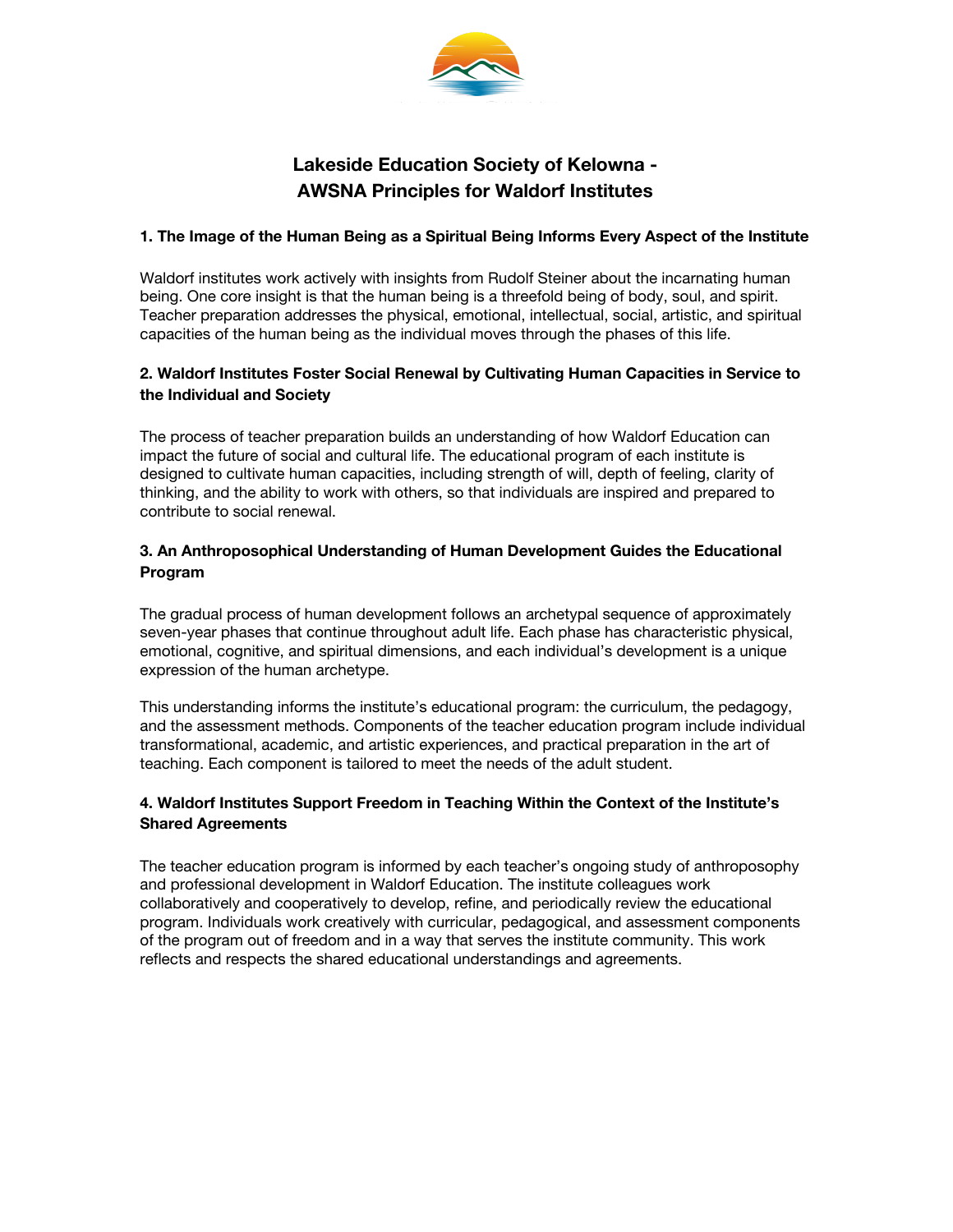

# **Lakeside Education Society of Kelowna - AWSNA Principles for Waldorf Institutes**

#### **1. The Image of the Human Being as a Spiritual Being Informs Every Aspect of the Institute**

Waldorf institutes work actively with insights from Rudolf Steiner about the incarnating human being. One core insight is that the human being is a threefold being of body, soul, and spirit. Teacher preparation addresses the physical, emotional, intellectual, social, artistic, and spiritual capacities of the human being as the individual moves through the phases of this life.

# **2. Waldorf Institutes Foster Social Renewal by Cultivating Human Capacities in Service to the Individual and Society**

The process of teacher preparation builds an understanding of how Waldorf Education can impact the future of social and cultural life. The educational program of each institute is designed to cultivate human capacities, including strength of will, depth of feeling, clarity of thinking, and the ability to work with others, so that individuals are inspired and prepared to contribute to social renewal.

## **3. An Anthroposophical Understanding of Human Development Guides the Educational Program**

The gradual process of human development follows an archetypal sequence of approximately seven-year phases that continue throughout adult life. Each phase has characteristic physical, emotional, cognitive, and spiritual dimensions, and each individual's development is a unique expression of the human archetype.

This understanding informs the institute's educational program: the curriculum, the pedagogy, and the assessment methods. Components of the teacher education program include individual transformational, academic, and artistic experiences, and practical preparation in the art of teaching. Each component is tailored to meet the needs of the adult student.

# **4. Waldorf Institutes Support Freedom in Teaching Within the Context of the Institute's Shared Agreements**

The teacher education program is informed by each teacher's ongoing study of anthroposophy and professional development in Waldorf Education. The institute colleagues work collaboratively and cooperatively to develop, refine, and periodically review the educational program. Individuals work creatively with curricular, pedagogical, and assessment components of the program out of freedom and in a way that serves the institute community. This work reflects and respects the shared educational understandings and agreements.